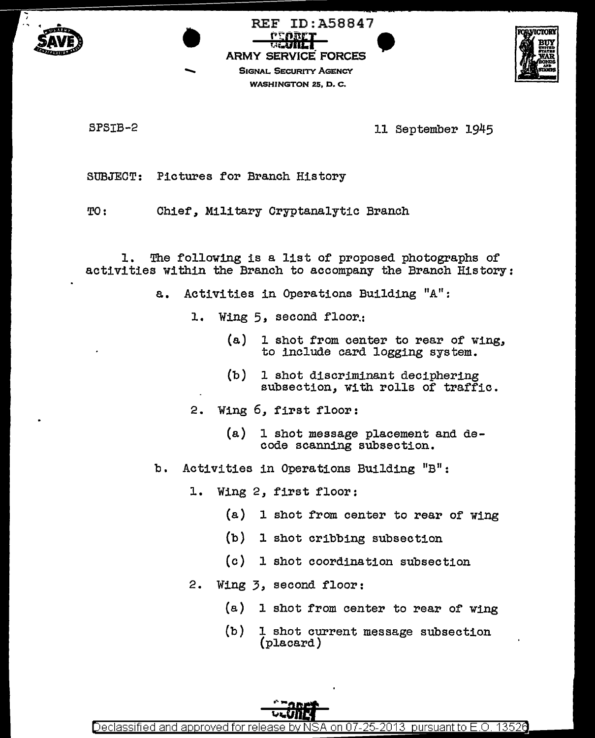





SPSIB-2 11 September 1945

SUBJECT: Pictures for Branch History

TO: Chief, Military Cryptanalytic Branch

l. The following is a list of proposed photographs of activities within the Branch to accompany the Branch History:

- a. Activities in Operations Building "A":
	- 1. Wing 5, second floor.:
		- (a) 1 shot from center to rear of wing, to include card logging system.
		- (b) 1 shot discriminant deciphering<br>subsection, with rolls of traffic.
	- 2. Wing 6, first floor:
		- (a) 1 shot message placement and decode scanning subsection.
- b. Activities in Operations Building "B":
	- 1. Wing 2, first floor:
		- (a) 1 shot from center to rear of wing
		- (b) 1 shot cribbing subsection
		- (c) 1 shot coordination subsection
	- 2. Wing 3, second floor:
		- (a) l shot from center to rear of wing
		- (b) 1 shot current message subsection (placard)

Declassified and approved for release by NSA on 07-25-2013 pursuant to E.O. 13526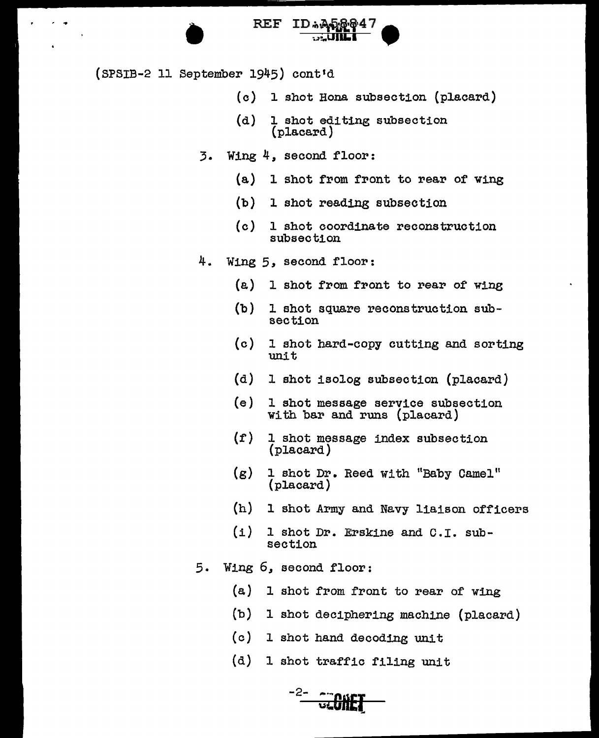

(SPSIB-2 11 September 1945) cont'd

 $\ddot{\phantom{a}}$ 

- (c) 1 shot Hona subsection (placard)
- (d) 1 shot editing subsection (placard)
- 3. Wing 4, second floor:
	- $(a)$  1 shot from front to rear of wing
	- (b) l shot reading subsection
	- (c) 1 shot coordinate reconstruction subsection
- 4. Wing 5, second floor:
	- $(a)$ 1 shot from front to rear of wing
	- (b) l shot square reconstruction subsection
	- $(c)$ <sup>l</sup>shot hard-copy cutting and sorting unit
	- (d) 1 shot isolog subsection (placard)
	- (e) l shot message service subsection with bar and runs (placard)
	- (f) 1 shot message index subsection (placard)
	- (g) 1 shot Dr. Reed with "Baby Camel" (placard)
	- $(h)$ l shot Army and Navy liaison officers
	- *(i)*  1 shot Dr. Erskine and C.I. subsection
- 5. Wing 6, second floor:
	- (a) 1 shot from front to rear of' wing
	- (b) 1 shot deciphering machine (placard)
	- (c) 1 shot hand decoding unit
	- (d) 1 shot traffic filing *unit*

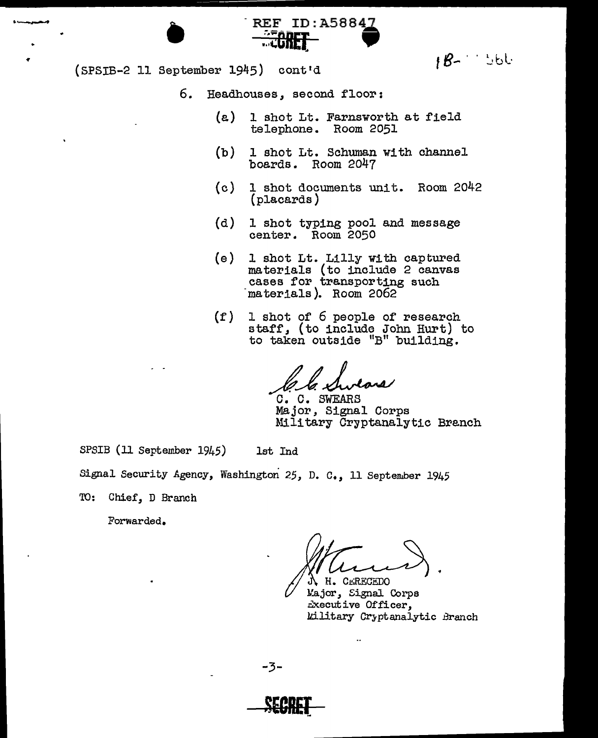$fB-1$  bbl.

 $(SPSIB-2 11 September 1945) cont'd$ 

. .\_

- 6. Headhouses, second floor:
	- (e.) 1 shot Lt. Farnsworth at field telephone. Room 2051

REF ID: A58847

- (b) 1 shot Lt. Schuman with channel boards. Room 2047
- (c) 1 shot documents unit. Room 2042 (placards)
- (d) l shot typing pool and message center. Room 2050
- (e) 1 shot Lt. Lilly with captured materials (to include 2 canvas cases for transporting such -materials). Room 2062
- (f) 1 shot of 6 people of research staff, (to include John Hurt) to to taken outside "B" building.

C. C. SWEARS<br>Major, Signal Corps Military Cryptanalytic Brench

SPSIB (11 September 1945) 1st Ind

Signal Security Agency, Washington 25, D. C., 11 September 1945

TO: Chief, D Branch

Forwarded.

H. CERECEDO

Major, Signal Corps Executive Officer, l.lilitary Cr3ptanalytic Branch

-3-